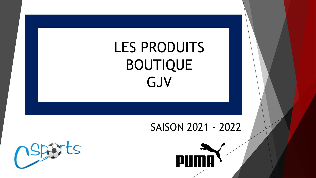# LES PRODUITS BOUTIQUE GJV

#### SAISON 2021 - 2022



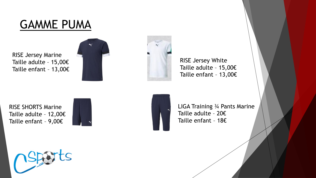### GAMME PUMA

RISE Jersey Marine Taille adulte – 15,00€ Taille enfant – 13,00€





RISE Jersey White Taille adulte – 15,00€ Taille enfant – 13,00€

RISE SHORTS Marine Taille adulte – 12,00€ Taille enfant – 9,00€





LIGA Training ¾ Pants Marine Taille adulte – 20€ Taille enfant – 18€

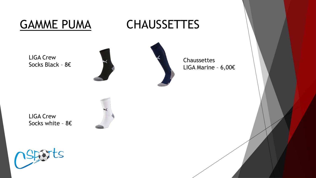LIGA Crew

Socks Black – 8€

GAMME PUMA CHAUSSETTES



Chaussettes LIGA Marine – 6,00€

LIGA Crew Socks white – 8€



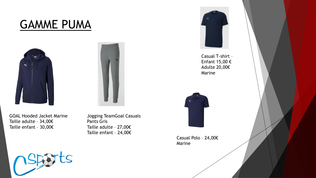### GAMME PUMA





GOAL Hooded Jacket Marine Taille adulte – 34,00€ Taille enfant – 30,00€

Jogging TeamGoal Casuals Pants Gris Taille adulte – 27,00€ Taille enfant – 24,00€



Casual T-shirt – Enfant 15,00 € Adulte 20,00€ Marine



Casual Polo – 24,00€ Marine

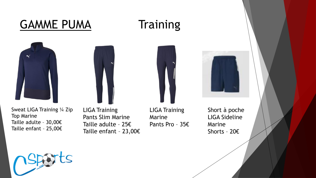## GAMME PUMA Training





Sweat LIGA Training ¼ Zip Top Marine Taille adulte – 30,00€ Taille enfant – 25,00€

LIGA Training Pants Slim Marine Taille adulte – 25€ Taille enfant – 23,00€

LIGA Training Marine Pants Pro – 35€

Short à poche LIGA Sideline Marine Shorts – 20€



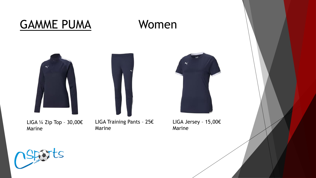### GAMME PUMA Women



LIGA ¼ Zip Top – 30,00€ Marine





LIGA Jersey – 15,00€ Marine

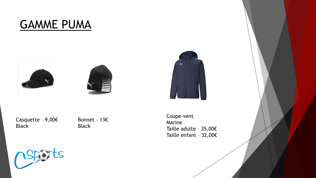#### GAMME PUMA







Casquette – 9,00€ Black

Bonnet – 13€ Black

Coupe-vent Marine Taille adulte – 35,00€ Taille enfant – 32,00€

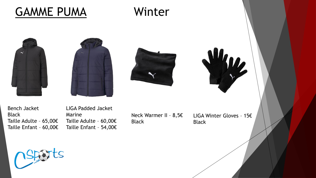### GAMME PUMA Winter









Bench Jacket Black Taille Adulte – 65,00€ Taille Enfant – 60,00€ LIGA Padded Jacket Marine Taille Adulte – 60,00€ Taille Enfant – 54,00€

Neck Warmer II – 8,5€ Black

LIGA Winter Gloves – 15€ Black